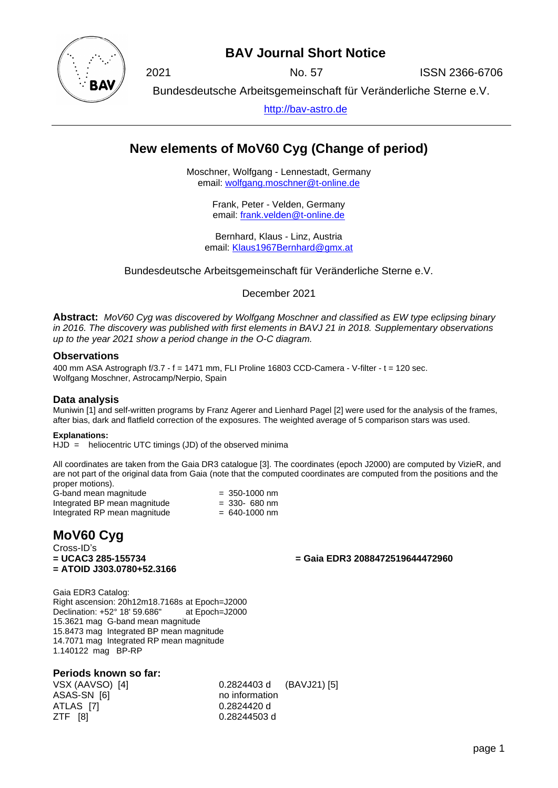

# **BAV Journal Short Notice**

2021 No. 57 ISSN 2366-6706

Bundesdeutsche Arbeitsgemeinschaft für Veränderliche Sterne e.V.

[http://bav-astro.de](http://bav-astro.de/)

# **New elements of MoV60 Cyg (Change of period)**

Moschner, Wolfgang - Lennestadt, Germany email: [wolfgang.moschner@t-online.de](mailto:wolfgang.moschner@t-online.de)

> Frank, Peter - Velden, Germany email: [frank.velden@t-online.de](mailto:frank.velden@t-online.de)

Bernhard, Klaus - Linz, Austria email: [Klaus1967Bernhard@gmx.at](mailto:Klaus1967Bernhard@gmx.at)

Bundesdeutsche Arbeitsgemeinschaft für Veränderliche Sterne e.V.

December 2021

**Abstract:** *MoV60 Cyg was discovered by Wolfgang Moschner and classified as EW type eclipsing binary in 2016. The discovery was published with first elements in BAVJ 21 in 2018. Supplementary observations up to the year 2021 show a period change in the O-C diagram.*

#### **Observations**

400 mm ASA Astrograph f/3.7 - f = 1471 mm, FLI Proline 16803 CCD-Camera - V-filter - t = 120 sec. Wolfgang Moschner, Astrocamp/Nerpio, Spain

### **Data analysis**

Muniwin [1] and self-written programs by Franz Agerer and Lienhard Pagel [2] were used for the analysis of the frames, after bias, dark and flatfield correction of the exposures. The weighted average of 5 comparison stars was used.

#### **Explanations:**

 $HJD =$  heliocentric UTC timings (JD) of the observed minima

All coordinates are taken from the Gaia DR3 catalogue [3]. The coordinates (epoch J2000) are computed by VizieR, and are not part of the original data from Gaia (note that the computed coordinates are computed from the positions and the proper motions).

| G-band mean magnitude        | $= 350 - 1000$ nm |
|------------------------------|-------------------|
| Integrated BP mean magnitude | $=$ 330- 680 nm   |
| Integrated RP mean magnitude | $= 640 - 1000$ nm |

# **MoV60 Cyg**

Cross-ID's **= UCAC3 285-155734 = ATOID J303.0780+52.3166**

**= Gaia EDR3 2088472519644472960**

Gaia EDR3 Catalog: Right ascension: 20h12m18.7168s at Epoch=J2000 Declination: +52° 18' 59.686" at Epoch=J2000 15.3621 mag G-band mean magnitude 15.8473 mag Integrated BP mean magnitude 14.7071 mag Integrated RP mean magnitude 1.140122 mag BP-RP

### **Periods known so far:**

VSX (AAVSO) [4] 0.2824403 d (BAVJ21) [5] ASAS-SN [6] no information ATLAS [7] 0.2824420 d ZTF [8] 0.28244503 d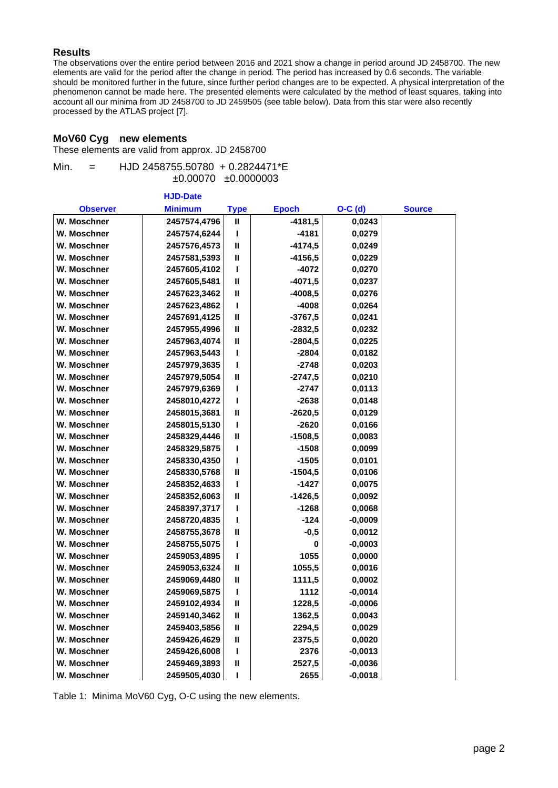## **Results**

The observations over the entire period between 2016 and 2021 show a change in period around JD 2458700. The new elements are valid for the period after the change in period. The period has increased by 0.6 seconds. The variable should be monitored further in the future, since further period changes are to be expected. A physical interpretation of the phenomenon cannot be made here. The presented elements were calculated by the method of least squares, taking into account all our minima from JD 2458700 to JD 2459505 (see table below). Data from this star were also recently processed by the ATLAS project [7].

### **MoV60 Cyg new elements**

These elements are valid from approx. JD 2458700

| Min. | $=$ | HJD 2458755.50780 + 0.2824471*E |
|------|-----|---------------------------------|
|      |     | $\pm 0.00070$ $\pm 0.0000003$   |

|                 | <b>HJD-Date</b> |              |              |           |               |
|-----------------|-----------------|--------------|--------------|-----------|---------------|
| <b>Observer</b> | <b>Minimum</b>  | <b>Type</b>  | <b>Epoch</b> | $O-C$ (d) | <b>Source</b> |
| W. Moschner     | 2457574,4796    | $\mathbf{I}$ | $-4181,5$    | 0,0243    |               |
| W. Moschner     | 2457574,6244    | т            | $-4181$      | 0,0279    |               |
| W. Moschner     | 2457576,4573    | $\mathbf{I}$ | -4174,5      | 0,0249    |               |
| W. Moschner     | 2457581,5393    | $\mathbf{I}$ | -4156,5      | 0,0229    |               |
| W. Moschner     | 2457605,4102    | ı            | $-4072$      | 0,0270    |               |
| W. Moschner     | 2457605,5481    | $\mathbf{I}$ | $-4071,5$    | 0,0237    |               |
| W. Moschner     | 2457623,3462    | $\mathbf{I}$ | $-4008,5$    | 0,0276    |               |
| W. Moschner     | 2457623,4862    | т            | -4008        | 0,0264    |               |
| W. Moschner     | 2457691,4125    | $\mathbf{I}$ | $-3767,5$    | 0,0241    |               |
| W. Moschner     | 2457955,4996    | $\mathbf{I}$ | -2832,5      | 0,0232    |               |
| W. Moschner     | 2457963,4074    | $\mathbf{I}$ | $-2804,5$    | 0,0225    |               |
| W. Moschner     | 2457963,5443    | т            | -2804        | 0,0182    |               |
| W. Moschner     | 2457979,3635    | т            | $-2748$      | 0,0203    |               |
| W. Moschner     | 2457979,5054    | $\mathbf{I}$ | $-2747,5$    | 0,0210    |               |
| W. Moschner     | 2457979,6369    | т            | -2747        | 0,0113    |               |
| W. Moschner     | 2458010,4272    | т            | -2638        | 0,0148    |               |
| W. Moschner     | 2458015,3681    | $\mathbf{I}$ | $-2620,5$    | 0,0129    |               |
| W. Moschner     | 2458015,5130    | т            | $-2620$      | 0,0166    |               |
| W. Moschner     | 2458329,4446    | $\mathbf{I}$ | $-1508,5$    | 0,0083    |               |
| W. Moschner     | 2458329,5875    | ı            | -1508        | 0,0099    |               |
| W. Moschner     | 2458330,4350    | т            | $-1505$      | 0,0101    |               |
| W. Moschner     | 2458330,5768    | $\mathbf{I}$ | $-1504,5$    | 0,0106    |               |
| W. Moschner     | 2458352,4633    | т            | $-1427$      | 0,0075    |               |
| W. Moschner     | 2458352,6063    | $\mathbf{I}$ | $-1426,5$    | 0,0092    |               |
| W. Moschner     | 2458397,3717    | L            | $-1268$      | 0,0068    |               |
| W. Moschner     | 2458720,4835    | L            | $-124$       | $-0,0009$ |               |
| W. Moschner     | 2458755,3678    | $\mathbf{I}$ | $-0,5$       | 0,0012    |               |
| W. Moschner     | 2458755,5075    | ı            | 0            | $-0,0003$ |               |
| W. Moschner     | 2459053,4895    | ı            | 1055         | 0,0000    |               |
| W. Moschner     | 2459053,6324    | $\mathbf{I}$ | 1055,5       | 0,0016    |               |
| W. Moschner     | 2459069,4480    | $\mathbf{I}$ | 1111,5       | 0,0002    |               |
| W. Moschner     | 2459069,5875    | ı            | 1112         | $-0,0014$ |               |
| W. Moschner     | 2459102,4934    | $\mathbf{I}$ | 1228,5       | $-0,0006$ |               |
| W. Moschner     | 2459140,3462    | Ш            | 1362,5       | 0,0043    |               |
| W. Moschner     | 2459403,5856    | Ш            | 2294,5       | 0,0029    |               |
| W. Moschner     | 2459426,4629    | Ш            | 2375,5       | 0,0020    |               |
| W. Moschner     | 2459426,6008    | I            | 2376         | $-0,0013$ |               |
| W. Moschner     | 2459469,3893    | Ш            | 2527,5       | $-0,0036$ |               |
| W. Moschner     | 2459505,4030    | т            | 2655         | $-0,0018$ |               |

Table 1: Minima MoV60 Cyg, O-C using the new elements.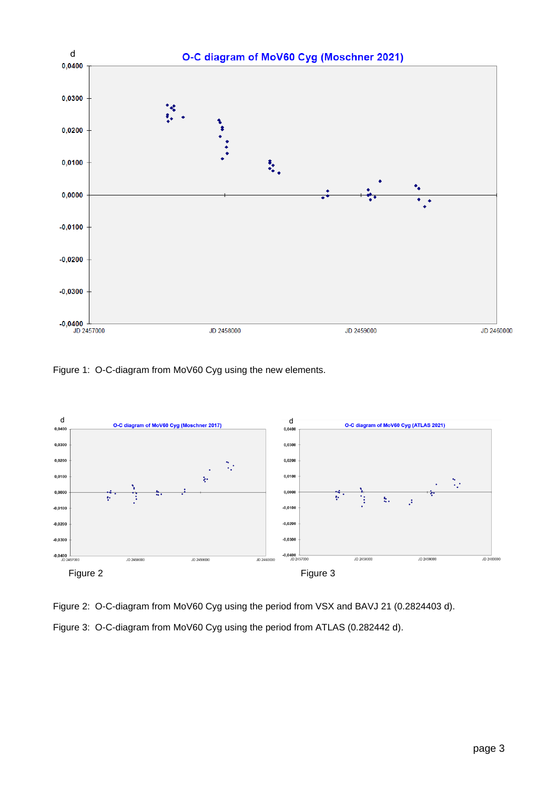

Figure 1: O-C-diagram from MoV60 Cyg using the new elements.



Figure 2: O-C-diagram from MoV60 Cyg using the period from VSX and BAVJ 21 (0.2824403 d). Figure 3: O-C-diagram from MoV60 Cyg using the period from ATLAS (0.282442 d).